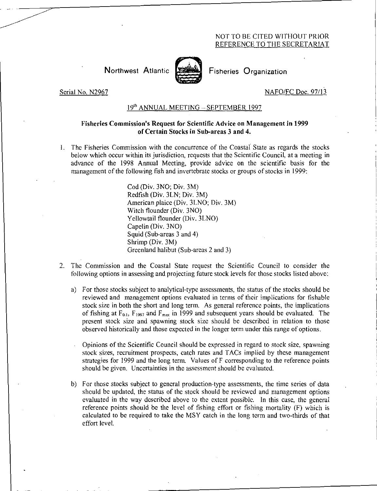## NOT TO BE CITED WITHOUT PRIOR REFERENCE TO THE SECRETARIAT

Northwest Atlantic Fisheries Organization



Serial No. N2967 NAFO/FC Doc. 97/13

## 19th ANNUAL MEETING - SEPTEMBER 1997

## Fisheries Commission's Request for Scientific Advice on Management in 1999 of Certain Stocks in Sub-areas 3 and 4.

1. The Fisheries Commission with the concurrence of the Coastal State as regards the stocks below which occur within its jurisdiction, requests that the Scientific Council, at a meeting in advance of the 1998 Annual Meeting, provide advice on the scientific basis for the management of the following fish and invertebrate stocks or groups of stocks in 1999:

> Cod (Div. 3NO; Div. 3M) Redfish (Div. 3LN; Div. 3M) American plaice (Div. 3LNO; Div. 3M) Witch flounder (Div. 3NO) Yellowtail flounder (Div. 3LNO) Capelin (Div. 3NO) Squid (Sub-areas 3 and 4) Shrimp (Div. 3M) Greenland halibut (Sub-areas 2 and 3)

- 2. The Commission and the Coastal State request the Scientific Council to consider the following options in assessing and projecting future stock levels for those stocks listed above:
	- a) For those stocks subject to analytical-type assessments, the status of the stocks should be reviewed and management options evaluated in terms of their implications for fishable stock size in both the short and long term. As general reference points, the implications of fishing at  $F_{0,1}$ ,  $F_{1997}$  and  $F_{\text{max}}$  in 1999 and subsequent years should be evaluated. The present stock size and spawning stock size should be described in relation to those observed historically and those expected in the longer term under this range of options.
	- Opinions of the Scientific Council should be expressed in regard to stock size, spawning stock sizes, recruitment prospects, catch rates and TACs implied by these management strategies for 1999 and the long term. Values of F corresponding to the reference points should be given. Uncertainties in the assessment should be evaluated.
	- b) For those stocks subject to general production-type assessments, the time series of data should be updated, the status of the stock should be reviewed and management options evaluated in the way described above to the extent possible. In this case, the general reference points should be the level of fishing effort or fishing mortality (F) which is calculated to be required to take the MSY catch in the long term and two-thirds of that effort level.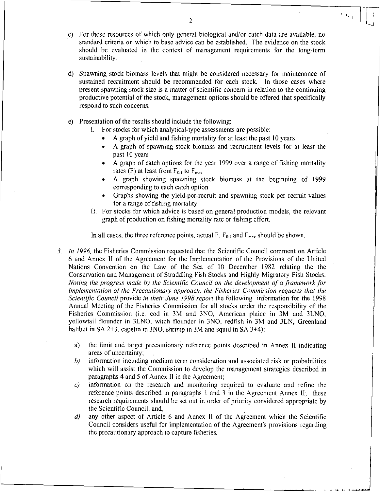- c) For those resources of which only general biological and/or catch data are available, no standard criteria on which to base advice can be established. The evidence on the stock should be evaluated in the context of management requirements for the long-term sustainability.
- d) Spawning stock biomass levels that might be considered necessary for maintenance of sustained recruitment should be recommended for each stock. In those cases where present spawning stock size is a matter of scientific concern in relation to the continuing productive potential of the stock, management options should be offered that specifically respond to such concerns.
- e) Presentation of the results should include the following:
	- I. For stocks for which analytical-type assessments are possible:
		- A graph of yield and fishing mortality for at least the past 10 years
		- A graph of spawning stock biomass and recruitment levels for at least the past 10 years
		- A graph of catch options for the year 1999 over a range of fishing mortality rates (F) at least from  $F_{0,1}$  to  $F_{\text{max}}$
		- A graph showing spawning stock biomass at the beginning of 1999 corresponding to each catch option
		- Graphs showing the yield-per-recruit and spawning stock per recruit values for a range of fishing mortality
	- II. For stocks for which advice is based on general production models, the relevant graph of production on fishing mortality rate or fishing effort.

In all cases, the three reference points, actual F,  $F_{0,1}$  and  $F_{\text{max}}$  should be shown.

- *3. In 1996,* the Fisheries Commission requested that the Scientific Council comment on Article 6 and Annex II of the Agreement for the Implementation of the Provisions of the United Nations Convention on the Law of the Sea of 10 December 1982 relating the the Conservation and Management of Straddling Fish Stocks and Highly Migratory Fish Stocks. *Noting the progress made by the Scientific Council on the development of a framework for implementation of the Precautionary approach, the Fisheries Commission requests that the Scientific Council* provide *in their June 1998 report* the following information for the 1998 Annual Meeting of the Fisheries Commission for all stocks under the responsibility of the Fisheries Commission (i.e. cod in 3M and 3N0, American plaice in 3M and 3LNO, yellowtail flounder in 3LNO, witch flounder in 3N0, redfish in 3M and 3LN, Greenland halibut in SA 2+3, capelin in 3NO, shrimp in 3M and squid in SA 3+4):
	- a) the limit and target precautionary reference points described in Annex II indicating areas of uncertainty; ,
	- b) information including medium term consideration and associated risk or probabilities which will assist the Commission to develop the management strategies described in paragraphs 4 and 5 of Annex II in the Agreement;
	- *c*) information on the research and monitoring required to evaluate and refine the reference points described in paragraphs 1 and 3 in the Agreement Annex II; these research requirements should be set out in order of priority considered appropriate by the Scientific Council; and,
	- *d)* any other aspect of Article 6 and Annex II of the Agreement which the Scientific Council considers useful for implementation of the Agreement's provisions regarding the precautionary approach to capture fisheries.

2